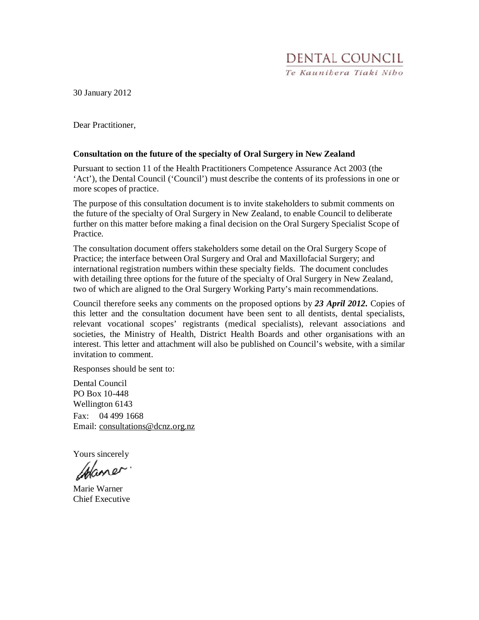30 January 2012

Dear Practitioner,

#### **Consultation on the future of the specialty of Oral Surgery in New Zealand**

Pursuant to section 11 of the Health Practitioners Competence Assurance Act 2003 (the 'Act'), the Dental Council ('Council') must describe the contents of its professions in one or more scopes of practice.

The purpose of this consultation document is to invite stakeholders to submit comments on the future of the specialty of Oral Surgery in New Zealand, to enable Council to deliberate further on this matter before making a final decision on the Oral Surgery Specialist Scope of Practice.

The consultation document offers stakeholders some detail on the Oral Surgery Scope of Practice; the interface between Oral Surgery and Oral and Maxillofacial Surgery; and international registration numbers within these specialty fields. The document concludes with detailing three options for the future of the specialty of Oral Surgery in New Zealand, two of which are aligned to the Oral Surgery Working Party's main recommendations.

Council therefore seeks any comments on the proposed options by *23 April 2012.* Copies of this letter and the consultation document have been sent to all dentists, dental specialists, relevant vocational scopes' registrants (medical specialists), relevant associations and societies, the Ministry of Health, District Health Boards and other organisations with an interest. This letter and attachment will also be published on Council's website, with a similar invitation to comment.

Responses should be sent to:

Dental Council PO Box 10-448 Wellington 6143 Fax: 04 499 1668 Email: consultations@dcnz.org.nz

Yours sincerely

Maner

Marie Warner Chief Executive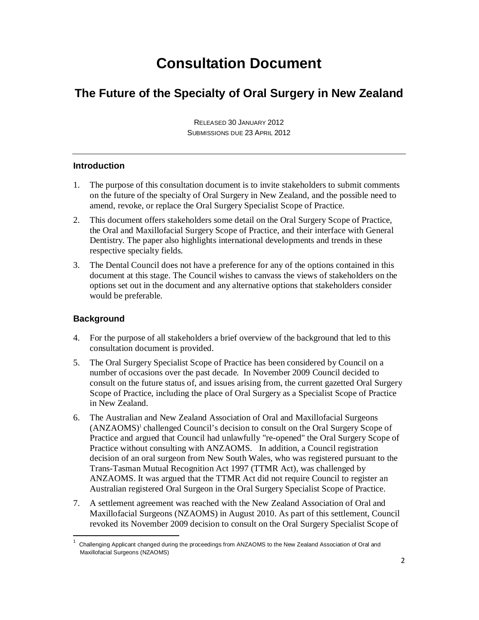# **Consultation Document**

## **The Future of the Specialty of Oral Surgery in New Zealand**

RELEASED 30 JANUARY 2012 SUBMISSIONS DUE 23 APRIL 2012

## **Introduction**

- 1. The purpose of this consultation document is to invite stakeholders to submit comments on the future of the specialty of Oral Surgery in New Zealand, and the possible need to amend, revoke, or replace the Oral Surgery Specialist Scope of Practice.
- 2. This document offers stakeholders some detail on the Oral Surgery Scope of Practice, the Oral and Maxillofacial Surgery Scope of Practice, and their interface with General Dentistry. The paper also highlights international developments and trends in these respective specialty fields.
- 3. The Dental Council does not have a preference for any of the options contained in this document at this stage. The Council wishes to canvass the views of stakeholders on the options set out in the document and any alternative options that stakeholders consider would be preferable.

## **Background**

 $\overline{a}$ 

- 4. For the purpose of all stakeholders a brief overview of the background that led to this consultation document is provided.
- 5. The Oral Surgery Specialist Scope of Practice has been considered by Council on a number of occasions over the past decade. In November 2009 Council decided to consult on the future status of, and issues arising from, the current gazetted Oral Surgery Scope of Practice, including the place of Oral Surgery as a Specialist Scope of Practice in New Zealand.
- 6. The Australian and New Zealand Association of Oral and Maxillofacial Surgeons (ANZAOMS)<sup>1</sup> challenged Council's decision to consult on the Oral Surgery Scope of Practice and argued that Council had unlawfully "re-opened" the Oral Surgery Scope of Practice without consulting with ANZAOMS. In addition, a Council registration decision of an oral surgeon from New South Wales, who was registered pursuant to the Trans-Tasman Mutual Recognition Act 1997 (TTMR Act), was challenged by ANZAOMS. It was argued that the TTMR Act did not require Council to register an Australian registered Oral Surgeon in the Oral Surgery Specialist Scope of Practice.
- 7. A settlement agreement was reached with the New Zealand Association of Oral and Maxillofacial Surgeons (NZAOMS) in August 2010. As part of this settlement, Council revoked its November 2009 decision to consult on the Oral Surgery Specialist Scope of

<sup>1</sup> Challenging Applicant changed during the proceedings from ANZAOMS to the New Zealand Association of Oral and Maxillofacial Surgeons (NZAOMS)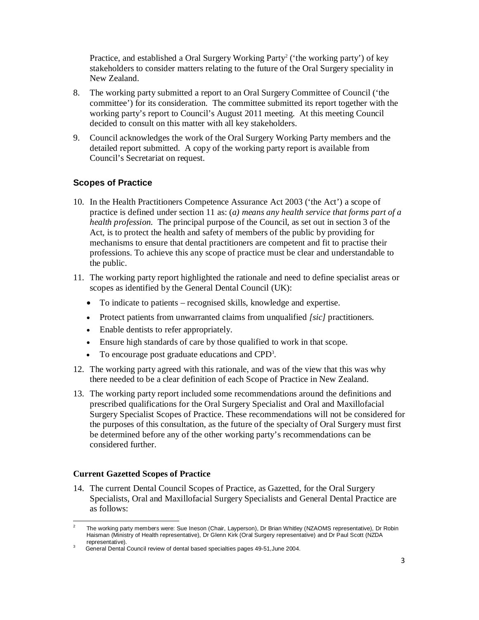Practice, and established a Oral Surgery Working Party<sup>2</sup> ('the working party') of key stakeholders to consider matters relating to the future of the Oral Surgery speciality in New Zealand.

- 8. The working party submitted a report to an Oral Surgery Committee of Council ('the committee') for its consideration. The committee submitted its report together with the working party's report to Council's August 2011 meeting. At this meeting Council decided to consult on this matter with all key stakeholders.
- 9. Council acknowledges the work of the Oral Surgery Working Party members and the detailed report submitted. A copy of the working party report is available from Council's Secretariat on request.

#### **Scopes of Practice**

- 10. In the Health Practitioners Competence Assurance Act 2003 ('the Act') a scope of practice is defined under section 11 as: (*a) means any health service that forms part of a health profession.* The principal purpose of the Council, as set out in section 3 of the Act, is to protect the health and safety of members of the public by providing for mechanisms to ensure that dental practitioners are competent and fit to practise their professions. To achieve this any scope of practice must be clear and understandable to the public.
- 11. The working party report highlighted the rationale and need to define specialist areas or scopes as identified by the General Dental Council (UK):
	- To indicate to patients recognised skills, knowledge and expertise.
	- Protect patients from unwarranted claims from unqualified *[sic]* practitioners.
	- Enable dentists to refer appropriately.
	- Ensure high standards of care by those qualified to work in that scope.
	- To encourage post graduate educations and CPD<sup>3</sup>.
- 12. The working party agreed with this rationale, and was of the view that this was why there needed to be a clear definition of each Scope of Practice in New Zealand.
- 13. The working party report included some recommendations around the definitions and prescribed qualifications for the Oral Surgery Specialist and Oral and Maxillofacial Surgery Specialist Scopes of Practice. These recommendations will not be considered for the purposes of this consultation, as the future of the specialty of Oral Surgery must first be determined before any of the other working party's recommendations can be considered further.

#### **Current Gazetted Scopes of Practice**

<u>.</u>

14. The current Dental Council Scopes of Practice, as Gazetted, for the Oral Surgery Specialists, Oral and Maxillofacial Surgery Specialists and General Dental Practice are as follows:

<sup>2</sup> The working party members were: Sue Ineson (Chair, Layperson), Dr Brian Whitley (NZAOMS representative), Dr Robin Haisman (Ministry of Health representative), Dr Glenn Kirk (Oral Surgery representative) and Dr Paul Scott (NZDA representative).

<sup>3</sup> General Dental Council review of dental based specialties pages 49-51,June 2004.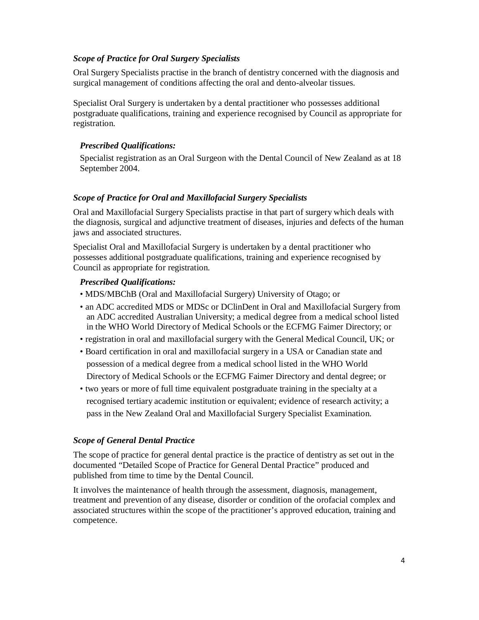#### *Scope of Practice for Oral Surgery Specialists*

Oral Surgery Specialists practise in the branch of dentistry concerned with the diagnosis and surgical management of conditions affecting the oral and dento-alveolar tissues.

Specialist Oral Surgery is undertaken by a dental practitioner who possesses additional postgraduate qualifications, training and experience recognised by Council as appropriate for registration.

#### *Prescribed Qualifications:*

Specialist registration as an Oral Surgeon with the Dental Council of New Zealand as at 18 September 2004.

#### *Scope of Practice for Oral and Maxillofacial Surgery Specialists*

Oral and Maxillofacial Surgery Specialists practise in that part of surgery which deals with the diagnosis, surgical and adjunctive treatment of diseases, injuries and defects of the human jaws and associated structures.

Specialist Oral and Maxillofacial Surgery is undertaken by a dental practitioner who possesses additional postgraduate qualifications, training and experience recognised by Council as appropriate for registration.

#### *Prescribed Qualifications:*

- MDS/MBChB (Oral and Maxillofacial Surgery) University of Otago; or
- an ADC accredited MDS or MDSc or DClinDent in Oral and Maxillofacial Surgery from an ADC accredited Australian University; a medical degree from a medical school listed in the WHO World Directory of Medical Schools or the ECFMG Faimer Directory; or
- registration in oral and maxillofacial surgery with the General Medical Council, UK; or
- Board certification in oral and maxillofacial surgery in a USA or Canadian state and possession of a medical degree from a medical school listed in the WHO World Directory of Medical Schools or the ECFMG Faimer Directory and dental degree; or
- two years or more of full time equivalent postgraduate training in the specialty at a recognised tertiary academic institution or equivalent; evidence of research activity; a pass in the New Zealand Oral and Maxillofacial Surgery Specialist Examination.

#### *Scope of General Dental Practice*

The scope of practice for general dental practice is the practice of dentistry as set out in the documented "Detailed Scope of Practice for General Dental Practice" produced and published from time to time by the Dental Council.

It involves the maintenance of health through the assessment, diagnosis, management, treatment and prevention of any disease, disorder or condition of the orofacial complex and associated structures within the scope of the practitioner's approved education, training and competence.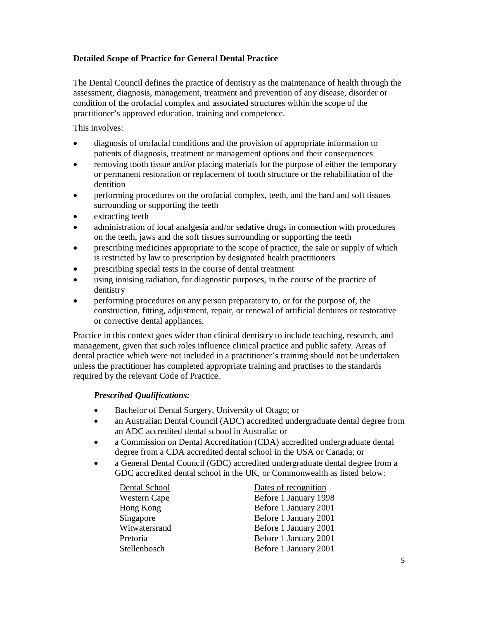## **Detailed Scope of Practice for General Dental Practice**

The Dental Council defines the practice of dentistry as the maintenance of health through the assessment, diagnosis, management, treatment and prevention of any disease, disorder or condition of the orofacial complex and associated structures within the scope of the practitioner's approved education, training and competence.

This involves:

- diagnosis of orofacial conditions and the provision of appropriate information to patients of diagnosis, treatment or management options and their consequences
- removing tooth tissue and/or placing materials for the purpose of either the temporary or permanent restoration or replacement of tooth structure or the rehabilitation of the dentition
- performing procedures on the orofacial complex, teeth, and the hard and soft tissues surrounding or supporting the teeth
- extracting teeth
- administration of local analgesia and/or sedative drugs in connection with procedures on the teeth, jaws and the soft tissues surrounding or supporting the teeth
- prescribing medicines appropriate to the scope of practice, the sale or supply of which is restricted by law to prescription by designated health practitioners
- prescribing special tests in the course of dental treatment
- using ionising radiation, for diagnostic purposes, in the course of the practice of dentistry
- performing procedures on any person preparatory to, or for the purpose of, the construction, fitting, adjustment, repair, or renewal of artificial dentures or restorative or corrective dental appliances.

Practice in this context goes wider than clinical dentistry to include teaching, research, and management, given that such roles influence clinical practice and public safety. Areas of dental practice which were not included in a practitioner's training should not be undertaken unless the practitioner has completed appropriate training and practises to the standards required by the relevant Code of Practice.

#### *Prescribed Qualifications:*

- Bachelor of Dental Surgery, University of Otago; or
- an Australian Dental Council (ADC) accredited undergraduate dental degree from an ADC accredited dental school in Australia; or
- a Commission on Dental Accreditation (CDA) accredited undergraduate dental degree from a CDA accredited dental school in the USA or Canada; or
- a General Dental Council (GDC) accredited undergraduate dental degree from a GDC accredited dental school in the UK, or Commonwealth as listed below:

| Dental School | Dates of recognition  |
|---------------|-----------------------|
| Western Cape  | Before 1 January 1998 |
| Hong Kong     | Before 1 January 2001 |
| Singapore     | Before 1 January 2001 |
| Witwatersrand | Before 1 January 2001 |
| Pretoria      | Before 1 January 2001 |
| Stellenbosch  | Before 1 January 2001 |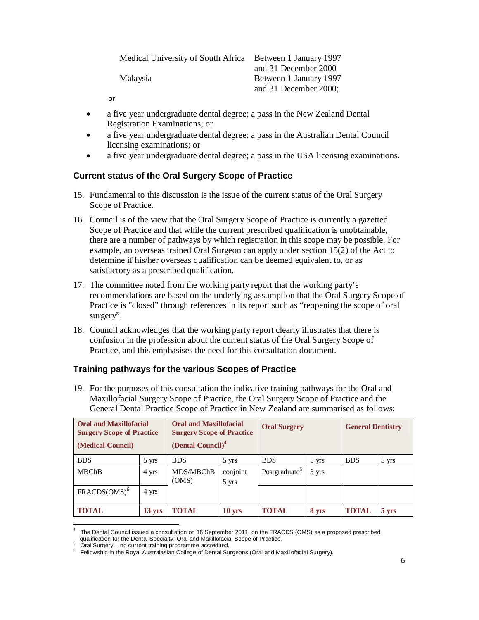| Medical University of South Africa | Between 1 January 1997 |
|------------------------------------|------------------------|
|                                    | and 31 December 2000   |
| Malaysia                           | Between 1 January 1997 |
|                                    | and 31 December 2000;  |

or

- a five year undergraduate dental degree; a pass in the New Zealand Dental Registration Examinations; or
- a five year undergraduate dental degree; a pass in the Australian Dental Council licensing examinations; or
- a five year undergraduate dental degree; a pass in the USA licensing examinations.

## **Current status of the Oral Surgery Scope of Practice**

- 15. Fundamental to this discussion is the issue of the current status of the Oral Surgery Scope of Practice.
- 16. Council is of the view that the Oral Surgery Scope of Practice is currently a gazetted Scope of Practice and that while the current prescribed qualification is unobtainable, there are a number of pathways by which registration in this scope may be possible. For example, an overseas trained Oral Surgeon can apply under section 15(2) of the Act to determine if his/her overseas qualification can be deemed equivalent to, or as satisfactory as a prescribed qualification.
- 17. The committee noted from the working party report that the working party's recommendations are based on the underlying assumption that the Oral Surgery Scope of Practice is "closed" through references in its report such as "reopening the scope of oral surgery".
- 18. Council acknowledges that the working party report clearly illustrates that there is confusion in the profession about the current status of the Oral Surgery Scope of Practice, and this emphasises the need for this consultation document.

## **Training pathways for the various Scopes of Practice**

19. For the purposes of this consultation the indicative training pathways for the Oral and Maxillofacial Surgery Scope of Practice, the Oral Surgery Scope of Practice and the General Dental Practice Scope of Practice in New Zealand are summarised as follows:

| <b>Oral and Maxillofacial</b><br><b>Surgery Scope of Practice</b><br>(Medical Council) |                  | <b>Oral and Maxillofacial</b><br><b>Surgery Scope of Practice</b><br>(Dental Council) <sup>4</sup> |                   | <b>Oral Surgery</b>        |                 | <b>General Dentistry</b> |                   |
|----------------------------------------------------------------------------------------|------------------|----------------------------------------------------------------------------------------------------|-------------------|----------------------------|-----------------|--------------------------|-------------------|
| <b>BDS</b>                                                                             | 5 yrs            | <b>BDS</b>                                                                                         | 5 yrs             | <b>BDS</b>                 | 5 yrs           | <b>BDS</b>               | 5 yrs             |
| <b>MBChB</b>                                                                           | 4 yrs            | MDS/MBChB<br>(OMS)                                                                                 | conjoint<br>5 yrs | Post graduate <sup>5</sup> | $3 \text{ yrs}$ |                          |                   |
| $FRACDS(OMS)$ <sup>6</sup>                                                             | 4 yrs            |                                                                                                    |                   |                            |                 |                          |                   |
| <b>TOTAL</b>                                                                           | $13 \text{ yrs}$ | <b>TOTAL</b>                                                                                       | $10$ yrs          | <b>TOTAL</b>               | 8 yrs           | <b>TOTAL</b>             | $5 \, \text{yrs}$ |

<sup>4</sup> The Dental Council issued a consultation on 16 September 2011, on the FRACDS (OMS) as a proposed prescribed qualification for the Dental Specialty: Oral and Maxillofacial Scope of Practice.

 $\overline{a}$ 

 $5$  Oral Surgery – no current training programme accredited.

 $6$  Fellowship in the Royal Australasian College of Dental Surgeons (Oral and Maxillofacial Surgery).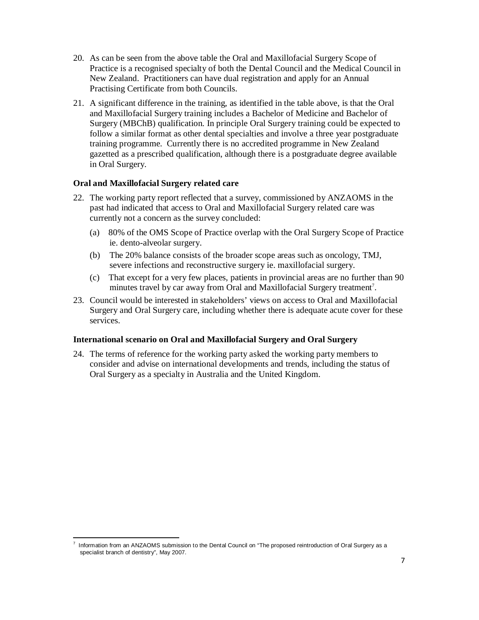- 20. As can be seen from the above table the Oral and Maxillofacial Surgery Scope of Practice is a recognised specialty of both the Dental Council and the Medical Council in New Zealand. Practitioners can have dual registration and apply for an Annual Practising Certificate from both Councils.
- 21. A significant difference in the training, as identified in the table above, is that the Oral and Maxillofacial Surgery training includes a Bachelor of Medicine and Bachelor of Surgery (MBChB) qualification. In principle Oral Surgery training could be expected to follow a similar format as other dental specialties and involve a three year postgraduate training programme. Currently there is no accredited programme in New Zealand gazetted as a prescribed qualification, although there is a postgraduate degree available in Oral Surgery.

#### **Oral and Maxillofacial Surgery related care**

.

- 22. The working party report reflected that a survey, commissioned by ANZAOMS in the past had indicated that access to Oral and Maxillofacial Surgery related care was currently not a concern as the survey concluded:
	- (a) 80% of the OMS Scope of Practice overlap with the Oral Surgery Scope of Practice ie. dento-alveolar surgery.
	- (b) The 20% balance consists of the broader scope areas such as oncology, TMJ, severe infections and reconstructive surgery ie. maxillofacial surgery.
	- (c) That except for a very few places, patients in provincial areas are no further than 90 minutes travel by car away from Oral and Maxillofacial Surgery treatment<sup>7</sup>.
- 23. Council would be interested in stakeholders' views on access to Oral and Maxillofacial Surgery and Oral Surgery care, including whether there is adequate acute cover for these services.

#### **International scenario on Oral and Maxillofacial Surgery and Oral Surgery**

24. The terms of reference for the working party asked the working party members to consider and advise on international developments and trends, including the status of Oral Surgery as a specialty in Australia and the United Kingdom.

<sup>7</sup> Information from an ANZAOMS submission to the Dental Council on "The proposed reintroduction of Oral Surgery as a specialist branch of dentistry", May 2007.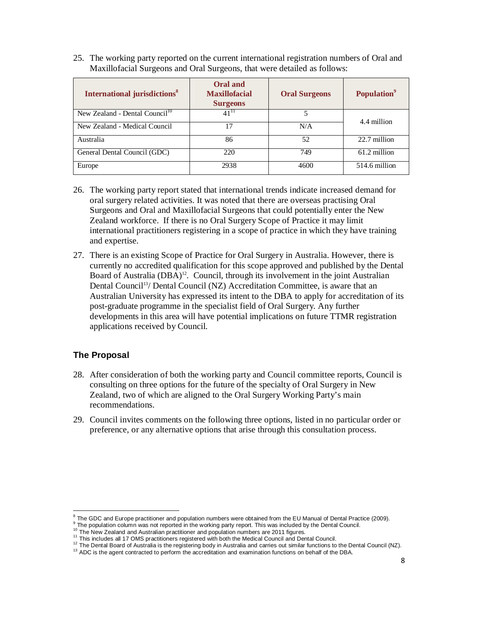25. The working party reported on the current international registration numbers of Oral and Maxillofacial Surgeons and Oral Surgeons, that were detailed as follows:

| <b>International jurisdictions<sup>8</sup></b> | <b>Oral and</b><br><b>Maxillofacial</b><br><b>Surgeons</b> | <b>Oral Surgeons</b> | <b>Population</b> <sup>9</sup> |  |  |
|------------------------------------------------|------------------------------------------------------------|----------------------|--------------------------------|--|--|
| New Zealand - Dental Council <sup>10</sup>     | $41^{11}$                                                  | 5                    |                                |  |  |
| New Zealand - Medical Council                  | 17                                                         | N/A                  | 4.4 million                    |  |  |
| Australia                                      | 86                                                         | 52                   | 22.7 million                   |  |  |
| General Dental Council (GDC)                   | 220                                                        | 749                  | 61.2 million                   |  |  |
| Europe                                         | 2938                                                       | 4600                 | 514.6 million                  |  |  |

- 26. The working party report stated that international trends indicate increased demand for oral surgery related activities. It was noted that there are overseas practising Oral Surgeons and Oral and Maxillofacial Surgeons that could potentially enter the New Zealand workforce. If there is no Oral Surgery Scope of Practice it may limit international practitioners registering in a scope of practice in which they have training and expertise.
- 27. There is an existing Scope of Practice for Oral Surgery in Australia. However, there is currently no accredited qualification for this scope approved and published by the Dental Board of Australia (DBA)<sup>12</sup>. Council, through its involvement in the joint Australian Dental Council<sup>13</sup>/ Dental Council (NZ) Accreditation Committee, is aware that an Australian University has expressed its intent to the DBA to apply for accreditation of its post-graduate programme in the specialist field of Oral Surgery. Any further developments in this area will have potential implications on future TTMR registration applications received by Council.

## **The Proposal**

<u>.</u>

- 28. After consideration of both the working party and Council committee reports, Council is consulting on three options for the future of the specialty of Oral Surgery in New Zealand, two of which are aligned to the Oral Surgery Working Party's main recommendations.
- 29. Council invites comments on the following three options, listed in no particular order or preference, or any alternative options that arise through this consultation process.

 $8$  The GDC and Europe practitioner and population numbers were obtained from the EU Manual of Dental Practice (2009).

<sup>&</sup>lt;sup>9</sup> The population column was not reported in the working party report. This was included by the Dental Council.

<sup>&</sup>lt;sup>10</sup> The New Zealand and Australian practitioner and population numbers are 2011 figures.

 $11$  This includes all 17 OMS practitioners registered with both the Medical Council and Dental Council.

 $12$  The Dental Board of Australia is the registering body in Australia and carries out similar functions to the Dental Council (NZ).

<sup>&</sup>lt;sup>13</sup> ADC is the agent contracted to perform the accreditation and examination functions on behalf of the DBA.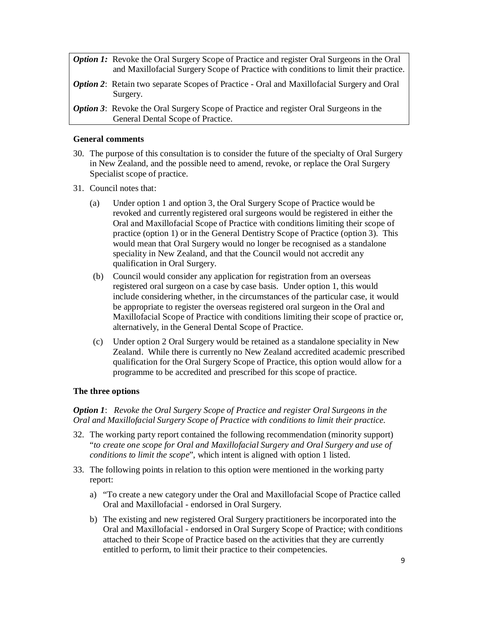| <b>Option 1:</b> Revoke the Oral Surgery Scope of Practice and register Oral Surgeons in the Oral<br>and Maxillofacial Surgery Scope of Practice with conditions to limit their practice. |
|-------------------------------------------------------------------------------------------------------------------------------------------------------------------------------------------|
| <b>Option 2:</b> Retain two separate Scopes of Practice - Oral and Maxillofacial Surgery and Oral<br>Surgery.                                                                             |
| <b>Option 3:</b> Revoke the Oral Surgery Scope of Practice and register Oral Surgeons in the<br>General Dental Scope of Practice.                                                         |

#### **General comments**

- 30. The purpose of this consultation is to consider the future of the specialty of Oral Surgery in New Zealand, and the possible need to amend, revoke, or replace the Oral Surgery Specialist scope of practice.
- 31. Council notes that:
	- (a) Under option 1 and option 3, the Oral Surgery Scope of Practice would be revoked and currently registered oral surgeons would be registered in either the Oral and Maxillofacial Scope of Practice with conditions limiting their scope of practice (option 1) or in the General Dentistry Scope of Practice (option 3). This would mean that Oral Surgery would no longer be recognised as a standalone speciality in New Zealand, and that the Council would not accredit any qualification in Oral Surgery.
	- (b) Council would consider any application for registration from an overseas registered oral surgeon on a case by case basis. Under option 1, this would include considering whether, in the circumstances of the particular case, it would be appropriate to register the overseas registered oral surgeon in the Oral and Maxillofacial Scope of Practice with conditions limiting their scope of practice or, alternatively, in the General Dental Scope of Practice.
	- (c) Under option 2 Oral Surgery would be retained as a standalone speciality in New Zealand. While there is currently no New Zealand accredited academic prescribed qualification for the Oral Surgery Scope of Practice, this option would allow for a programme to be accredited and prescribed for this scope of practice.

#### **The three options**

## *Option 1*: *Revoke the Oral Surgery Scope of Practice and register Oral Surgeons in the Oral and Maxillofacial Surgery Scope of Practice with conditions to limit their practice.*

- 32. The working party report contained the following recommendation (minority support) "*to create one scope for Oral and Maxillofacial Surgery and Oral Surgery and use of conditions to limit the scope*", which intent is aligned with option 1 listed.
- 33. The following points in relation to this option were mentioned in the working party report:
	- a) "To create a new category under the Oral and Maxillofacial Scope of Practice called Oral and Maxillofacial - endorsed in Oral Surgery.
	- b) The existing and new registered Oral Surgery practitioners be incorporated into the Oral and Maxillofacial - endorsed in Oral Surgery Scope of Practice; with conditions attached to their Scope of Practice based on the activities that they are currently entitled to perform, to limit their practice to their competencies.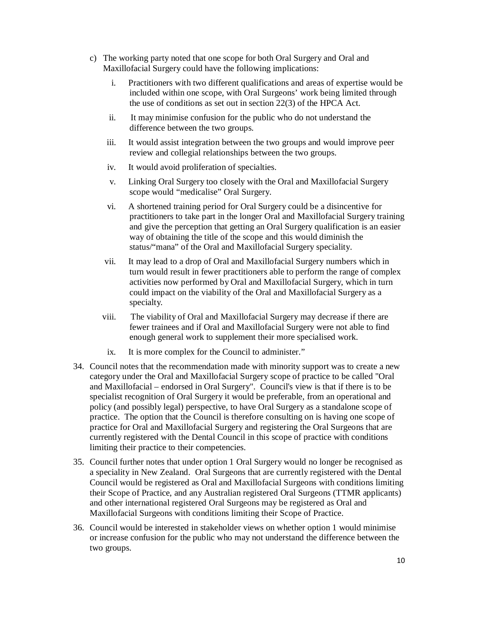- c) The working party noted that one scope for both Oral Surgery and Oral and Maxillofacial Surgery could have the following implications:
	- i. Practitioners with two different qualifications and areas of expertise would be included within one scope, with Oral Surgeons' work being limited through the use of conditions as set out in section 22(3) of the HPCA Act.
	- ii. It may minimise confusion for the public who do not understand the difference between the two groups.
	- iii. It would assist integration between the two groups and would improve peer review and collegial relationships between the two groups.
	- iv. It would avoid proliferation of specialties.
	- v. Linking Oral Surgery too closely with the Oral and Maxillofacial Surgery scope would "medicalise" Oral Surgery.
	- vi. A shortened training period for Oral Surgery could be a disincentive for practitioners to take part in the longer Oral and Maxillofacial Surgery training and give the perception that getting an Oral Surgery qualification is an easier way of obtaining the title of the scope and this would diminish the status/"mana" of the Oral and Maxillofacial Surgery speciality.
	- vii. It may lead to a drop of Oral and Maxillofacial Surgery numbers which in turn would result in fewer practitioners able to perform the range of complex activities now performed by Oral and Maxillofacial Surgery, which in turn could impact on the viability of the Oral and Maxillofacial Surgery as a specialty.
	- viii. The viability of Oral and Maxillofacial Surgery may decrease if there are fewer trainees and if Oral and Maxillofacial Surgery were not able to find enough general work to supplement their more specialised work.
	- ix. It is more complex for the Council to administer."
- 34. Council notes that the recommendation made with minority support was to create a new category under the Oral and Maxillofacial Surgery scope of practice to be called "Oral and Maxillofacial – endorsed in Oral Surgery". Council's view is that if there is to be specialist recognition of Oral Surgery it would be preferable, from an operational and policy (and possibly legal) perspective, to have Oral Surgery as a standalone scope of practice. The option that the Council is therefore consulting on is having one scope of practice for Oral and Maxillofacial Surgery and registering the Oral Surgeons that are currently registered with the Dental Council in this scope of practice with conditions limiting their practice to their competencies.
- 35. Council further notes that under option 1 Oral Surgery would no longer be recognised as a speciality in New Zealand. Oral Surgeons that are currently registered with the Dental Council would be registered as Oral and Maxillofacial Surgeons with conditions limiting their Scope of Practice, and any Australian registered Oral Surgeons (TTMR applicants) and other international registered Oral Surgeons may be registered as Oral and Maxillofacial Surgeons with conditions limiting their Scope of Practice.
- 36. Council would be interested in stakeholder views on whether option 1 would minimise or increase confusion for the public who may not understand the difference between the two groups.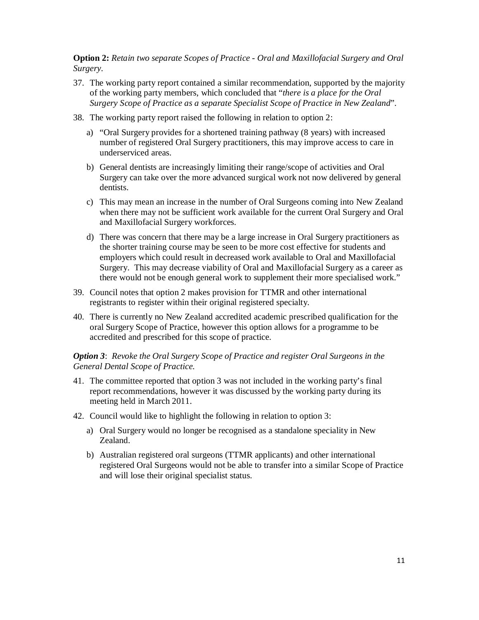**Option 2:** *Retain two separate Scopes of Practice - Oral and Maxillofacial Surgery and Oral Surgery.*

- 37. The working party report contained a similar recommendation, supported by the majority of the working party members, which concluded that "*there is a place for the Oral Surgery Scope of Practice as a separate Specialist Scope of Practice in New Zealand*".
- 38. The working party report raised the following in relation to option 2:
	- a) "Oral Surgery provides for a shortened training pathway (8 years) with increased number of registered Oral Surgery practitioners, this may improve access to care in underserviced areas.
	- b) General dentists are increasingly limiting their range/scope of activities and Oral Surgery can take over the more advanced surgical work not now delivered by general dentists.
	- c) This may mean an increase in the number of Oral Surgeons coming into New Zealand when there may not be sufficient work available for the current Oral Surgery and Oral and Maxillofacial Surgery workforces.
	- d) There was concern that there may be a large increase in Oral Surgery practitioners as the shorter training course may be seen to be more cost effective for students and employers which could result in decreased work available to Oral and Maxillofacial Surgery. This may decrease viability of Oral and Maxillofacial Surgery as a career as there would not be enough general work to supplement their more specialised work."
- 39. Council notes that option 2 makes provision for TTMR and other international registrants to register within their original registered specialty.
- 40. There is currently no New Zealand accredited academic prescribed qualification for the oral Surgery Scope of Practice, however this option allows for a programme to be accredited and prescribed for this scope of practice.

#### *Option 3*: *Revoke the Oral Surgery Scope of Practice and register Oral Surgeons in the General Dental Scope of Practice.*

- 41. The committee reported that option 3 was not included in the working party's final report recommendations, however it was discussed by the working party during its meeting held in March 2011.
- 42. Council would like to highlight the following in relation to option 3:
	- a) Oral Surgery would no longer be recognised as a standalone speciality in New Zealand.
	- b) Australian registered oral surgeons (TTMR applicants) and other international registered Oral Surgeons would not be able to transfer into a similar Scope of Practice and will lose their original specialist status.